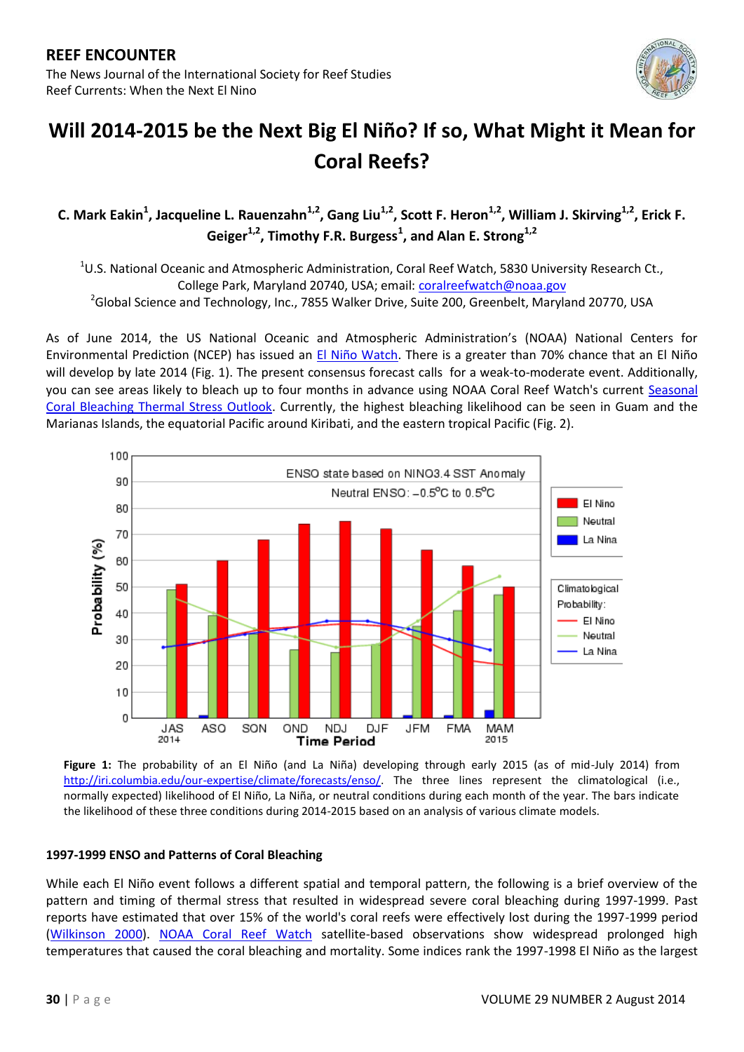

# **Will 2014-2015 be the Next Big El Niño? If so, What Might it Mean for Coral Reefs?**

C. Mark Eakin<sup>1</sup>, Jacqueline L. Rauenzahn<sup>1,2</sup>, Gang Liu<sup>1,2</sup>, Scott F. Heron<sup>1,2</sup>, William J. Skirving<sup>1,2</sup>, Erick F. Geiger<sup>1,2</sup>, Timothy F.R. Burgess<sup>1</sup>, and Alan E. Strong<sup>1,2</sup>

 $^{1}$ U.S. National Oceanic and Atmospheric Administration, Coral Reef Watch, 5830 University Research Ct., College Park, Maryland 20740, USA; email: [coralreefwatch@noaa.gov](mailto:coralreefwatch@noaa.gov) <sup>2</sup>Global Science and Technology, Inc., 7855 Walker Drive, Suite 200, Greenbelt, Maryland 20770, USA

As of June 2014, the US National Oceanic and Atmospheric Administration's (NOAA) National Centers for Environmental Prediction (NCEP) has issued an [El Niño Watch.](http://www.cpc.ncep.noaa.gov/products/analysis_monitoring/enso_advisory/ensodisc.html) There is a greater than 70% chance that an El Niño will develop by late 2014 (Fig. 1). The present consensus forecast calls for a weak-to-moderate event. Additionally, you can see areas likely to bleach up to four months in advance using NOAA Coral Reef Watch's current [Seasonal](http://coralreefwatch.noaa.gov/satellite/bleachingoutlook_cfs/outlook_cfs.php)  [Coral Bleaching Thermal Stress Outlook.](http://coralreefwatch.noaa.gov/satellite/bleachingoutlook_cfs/outlook_cfs.php) Currently, the highest bleaching likelihood can be seen in Guam and the Marianas Islands, the equatorial Pacific around Kiribati, and the eastern tropical Pacific (Fig. 2).



**Figure 1:** The probability of an El Niño (and La Niña) developing through early 2015 (as of mid-July 2014) from [http://iri.columbia.edu/our-expertise/climate/forecasts/enso/.](http://iri.columbia.edu/our-expertise/climate/forecasts/enso/) The three lines represent the climatological (i.e., normally expected) likelihood of El Niño, La Niña, or neutral conditions during each month of the year. The bars indicate the likelihood of these three conditions during 2014-2015 based on an analysis of various climate models.

### **1997-1999 ENSO and Patterns of Coral Bleaching**

While each El Niño event follows a different spatial and temporal pattern, the following is a brief overview of the pattern and timing of thermal stress that resulted in widespread severe coral bleaching during 1997-1999. Past reports have estimated that over 15% of the world's coral reefs were effectively lost during the 1997-1999 period [\(Wilkinson 2000\)](http://icriforum.org/icri-documents/associated-publications/status-coral-reefs-world-2000). [NOAA Coral Reef Watch](http://coralreefwatch.noaa.gov/satellite/index.php) satellite-based observations show widespread prolonged high temperatures that caused the coral bleaching and mortality. Some indices rank the 1997-1998 El Niño as the largest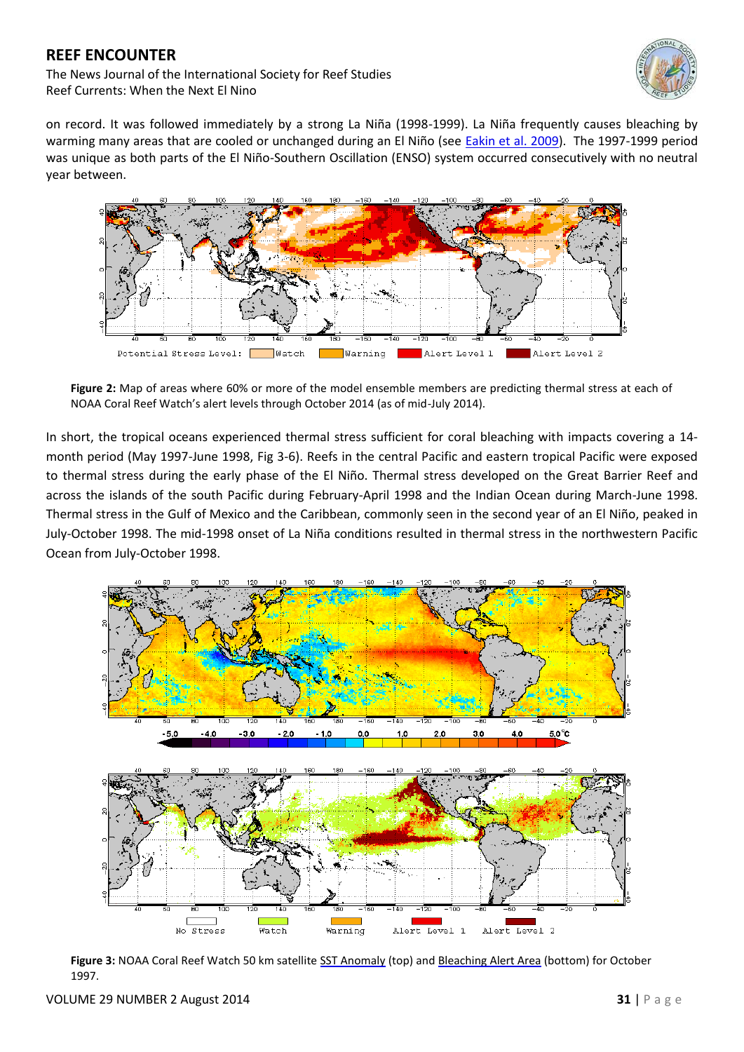The News Journal of the International Society for Reef Studies Reef Currents: When the Next El Nino



on record. It was followed immediately by a strong La Niña (1998-1999). La Niña frequently causes bleaching by warming many areas that are cooled or unchanged during an El Niño (see **Eakin et al. 2009**). The 1997-1999 period was unique as both parts of the El Niño-Southern Oscillation (ENSO) system occurred consecutively with no neutral year between.



**Figure 2:** Map of areas where 60% or more of the model ensemble members are predicting thermal stress at each of NOAA Coral Reef Watch's alert levels through October 2014 (as of mid-July 2014).

In short, the tropical oceans experienced thermal stress sufficient for coral bleaching with impacts covering a 14 month period (May 1997-June 1998, Fig 3-6). Reefs in the central Pacific and eastern tropical Pacific were exposed to thermal stress during the early phase of the El Niño. Thermal stress developed on the Great Barrier Reef and across the islands of the south Pacific during February-April 1998 and the Indian Ocean during March-June 1998. Thermal stress in the Gulf of Mexico and the Caribbean, commonly seen in the second year of an El Niño, peaked in July-October 1998. The mid-1998 onset of La Niña conditions resulted in thermal stress in the northwestern Pacific Ocean from July-October 1998.



Figure 3: NOAA Coral Reef Watch 50 km satellite [SST Anomaly](http://coralreefwatch.noaa.gov/satellite/ssta.php) (top) an[d Bleaching Alert Area](http://coralreefwatch.noaa.gov/satellite/baa.php) (bottom) for October 1997.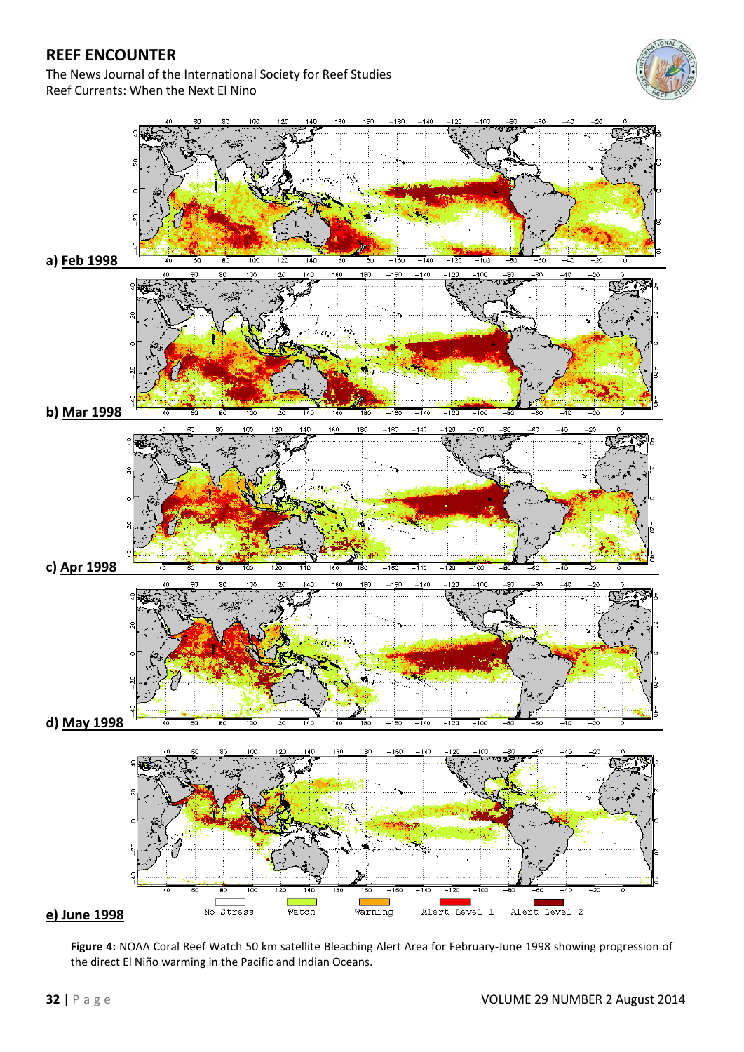The News Journal of the International Society for Reef Studies Reef Currents: When the Next El Nino





**Figure 4:** NOAA Coral Reef Watch 50 km satellite [Bleaching Alert Area](http://coralreefwatch.noaa.gov/satellite/baa.php) for February-June 1998 showing progression of the direct El Niño warming in the Pacific and Indian Oceans.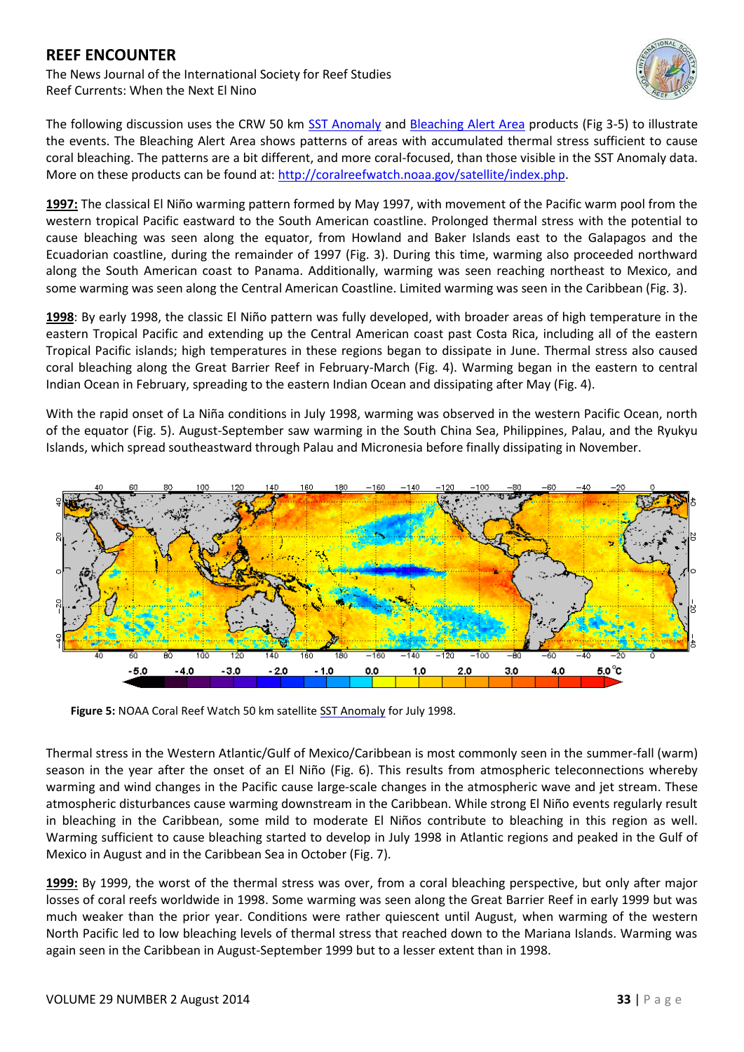The News Journal of the International Society for Reef Studies Reef Currents: When the Next El Nino



The following discussion uses the CRW 50 km [SST Anomaly](http://coralreefwatch.noaa.gov/satellite/ssta.php) and [Bleaching Alert Area](http://coralreefwatch.noaa.gov/satellite/baa.php) products (Fig 3-5) to illustrate the events. The Bleaching Alert Area shows patterns of areas with accumulated thermal stress sufficient to cause coral bleaching. The patterns are a bit different, and more coral-focused, than those visible in the SST Anomaly data. More on these products can be found at: [http://coralreefwatch.noaa.gov/satellite/index.php.](http://coralreefwatch.noaa.gov/satellite/index.php)

**1997:** The classical El Niño warming pattern formed by May 1997, with movement of the Pacific warm pool from the western tropical Pacific eastward to the South American coastline. Prolonged thermal stress with the potential to cause bleaching was seen along the equator, from Howland and Baker Islands east to the Galapagos and the Ecuadorian coastline, during the remainder of 1997 (Fig. 3). During this time, warming also proceeded northward along the South American coast to Panama. Additionally, warming was seen reaching northeast to Mexico, and some warming was seen along the Central American Coastline. Limited warming was seen in the Caribbean (Fig. 3).

**1998**: By early 1998, the classic El Niño pattern was fully developed, with broader areas of high temperature in the eastern Tropical Pacific and extending up the Central American coast past Costa Rica, including all of the eastern Tropical Pacific islands; high temperatures in these regions began to dissipate in June. Thermal stress also caused coral bleaching along the Great Barrier Reef in February-March (Fig. 4). Warming began in the eastern to central Indian Ocean in February, spreading to the eastern Indian Ocean and dissipating after May (Fig. 4).

With the rapid onset of La Niña conditions in July 1998, warming was observed in the western Pacific Ocean, north of the equator (Fig. 5). August-September saw warming in the South China Sea, Philippines, Palau, and the Ryukyu Islands, which spread southeastward through Palau and Micronesia before finally dissipating in November.



Figure 5: NOAA Coral Reef Watch 50 km satellite [SST Anomaly](http://coralreefwatch.noaa.gov/satellite/ssta.php) for July 1998.

Thermal stress in the Western Atlantic/Gulf of Mexico/Caribbean is most commonly seen in the summer-fall (warm) season in the year after the onset of an El Niño (Fig. 6). This results from atmospheric teleconnections whereby warming and wind changes in the Pacific cause large-scale changes in the atmospheric wave and jet stream. These atmospheric disturbances cause warming downstream in the Caribbean. While strong El Niño events regularly result in bleaching in the Caribbean, some mild to moderate El Niños contribute to bleaching in this region as well. Warming sufficient to cause bleaching started to develop in July 1998 in Atlantic regions and peaked in the Gulf of Mexico in August and in the Caribbean Sea in October (Fig. 7).

**1999:** By 1999, the worst of the thermal stress was over, from a coral bleaching perspective, but only after major losses of coral reefs worldwide in 1998. Some warming was seen along the Great Barrier Reef in early 1999 but was much weaker than the prior year. Conditions were rather quiescent until August, when warming of the western North Pacific led to low bleaching levels of thermal stress that reached down to the Mariana Islands. Warming was again seen in the Caribbean in August-September 1999 but to a lesser extent than in 1998.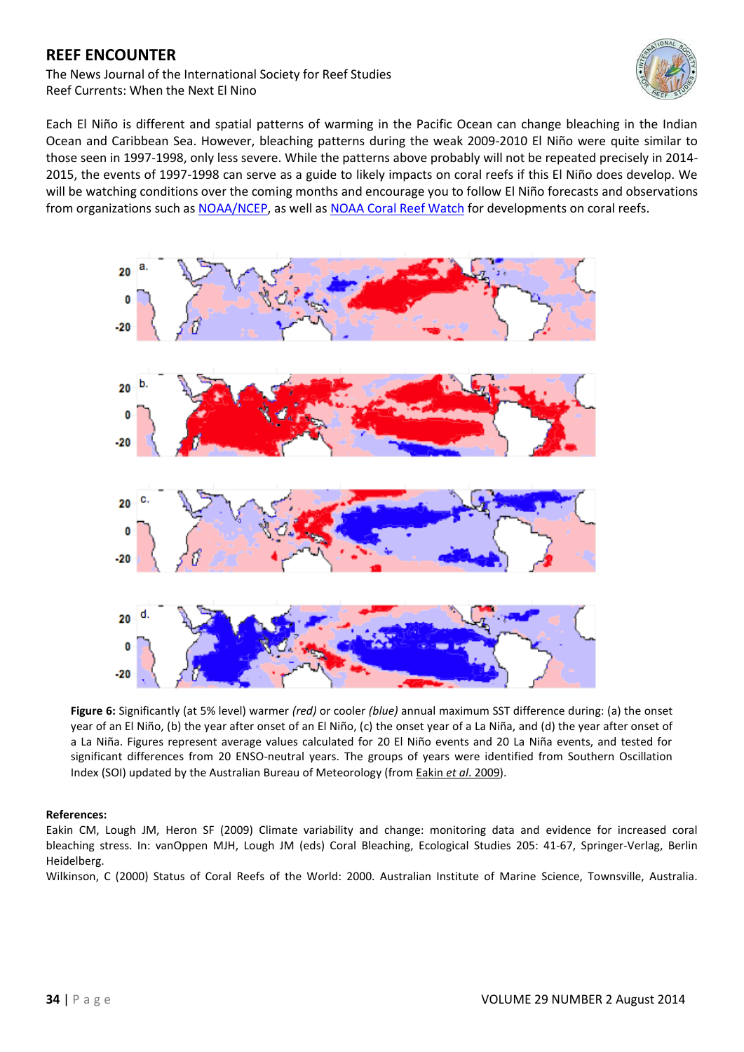The News Journal of the International Society for Reef Studies Reef Currents: When the Next El Nino



Each El Niño is different and spatial patterns of warming in the Pacific Ocean can change bleaching in the Indian Ocean and Caribbean Sea. However, bleaching patterns during the weak 2009-2010 El Niño were quite similar to those seen in 1997-1998, only less severe. While the patterns above probably will not be repeated precisely in 2014- 2015, the events of 1997-1998 can serve as a guide to likely impacts on coral reefs if this El Niño does develop. We will be watching conditions over the coming months and encourage you to follow El Niño forecasts and observations from organizations such a[s NOAA/NCEP,](http://www.cpc.ncep.noaa.gov/products/analysis_monitoring/enso_advisory/) as well as [NOAA Coral Reef Watch](http://coralreefwatch.noaa.gov/) for developments on coral reefs.



**Figure 6:** Significantly (at 5% level) warmer *(red)* or cooler *(blue)* annual maximum SST difference during: (a) the onset year of an El Niño, (b) the year after onset of an El Niño, (c) the onset year of a La Niña, and (d) the year after onset of a La Niña. Figures represent average values calculated for 20 El Niño events and 20 La Niña events, and tested for significant differences from 20 ENSO-neutral years. The groups of years were identified from Southern Oscillation Index (SOI) updated by the Australian Bureau of Meteorology (from Eakin *et al*[. 2009\)](http://link.springer.com/chapter/10.1007/978-3-540-69775-6_4).

#### **References:**

Eakin CM, Lough JM, Heron SF (2009) Climate variability and change: monitoring data and evidence for increased coral bleaching stress. In: vanOppen MJH, Lough JM (eds) Coral Bleaching, Ecological Studies 205: 41-67, Springer-Verlag, Berlin Heidelberg.

Wilkinson, C (2000) Status of Coral Reefs of the World: 2000. Australian Institute of Marine Science, Townsville, Australia.